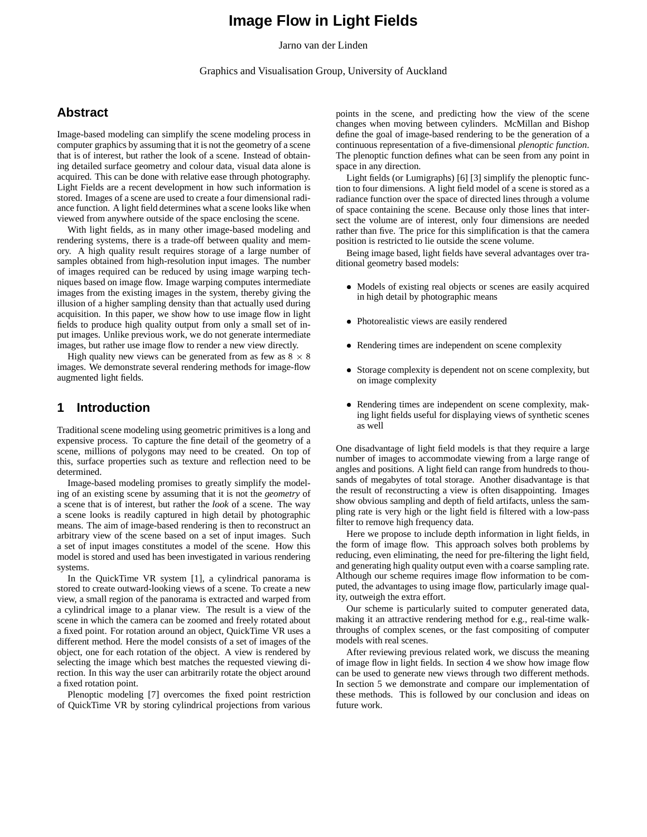# **Image Flow in Light Fields**

Jarno van der Linden

Graphics and Visualisation Group, University of Auckland

# **Abstract**

Image-based modeling can simplify the scene modeling process in computer graphics by assuming that it is not the geometry of a scene that is of interest, but rather the look of a scene. Instead of obtaining detailed surface geometry and colour data, visual data alone is acquired. This can be done with relative ease through photography. Light Fields are a recent development in how such information is stored. Images of a scene are used to create a four dimensional radiance function. A light field determines what a scene looks like when viewed from anywhere outside of the space enclosing the scene.

With light fields, as in many other image-based modeling and rendering systems, there is a trade-off between quality and memory. A high quality result requires storage of a large number of samples obtained from high-resolution input images. The number of images required can be reduced by using image warping techniques based on image flow. Image warping computes intermediate images from the existing images in the system, thereby giving the illusion of a higher sampling density than that actually used during acquisition. In this paper, we show how to use image flow in light fields to produce high quality output from only a small set of input images. Unlike previous work, we do not generate intermediate images, but rather use image flow to render a new view directly.

High quality new views can be generated from as few as  $8 \times 8$ images. We demonstrate several rendering methods for image-flow augmented light fields.

### **1 Introduction**

Traditional scene modeling using geometric primitives is a long and expensive process. To capture the fine detail of the geometry of a scene, millions of polygons may need to be created. On top of this, surface properties such as texture and reflection need to be determined.

Image-based modeling promises to greatly simplify the modeling of an existing scene by assuming that it is not the *geometry* of a scene that is of interest, but rather the *look* of a scene. The way a scene looks is readily captured in high detail by photographic means. The aim of image-based rendering is then to reconstruct an arbitrary view of the scene based on a set of input images. Such a set of input images constitutes a model of the scene. How this model is stored and used has been investigated in various rendering systems.

In the QuickTime VR system [1], a cylindrical panorama is stored to create outward-looking views of a scene. To create a new view, a small region of the panorama is extracted and warped from a cylindrical image to a planar view. The result is a view of the scene in which the camera can be zoomed and freely rotated about a fixed point. For rotation around an object, QuickTime VR uses a different method. Here the model consists of a set of images of the object, one for each rotation of the object. A view is rendered by selecting the image which best matches the requested viewing direction. In this way the user can arbitrarily rotate the object around a fixed rotation point.

Plenoptic modeling [7] overcomes the fixed point restriction of QuickTime VR by storing cylindrical projections from various

points in the scene, and predicting how the view of the scene changes when moving between cylinders. McMillan and Bishop define the goal of image-based rendering to be the generation of a continuous representation of a five-dimensional *plenoptic function*. The plenoptic function defines what can be seen from any point in space in any direction.

Light fields (or Lumigraphs) [6] [3] simplify the plenoptic function to four dimensions. A light field model of a scene is stored as a radiance function over the space of directed lines through a volume of space containing the scene. Because only those lines that intersect the volume are of interest, only four dimensions are needed rather than five. The price for this simplification is that the camera position is restricted to lie outside the scene volume.

Being image based, light fields have several advantages over traditional geometry based models:

- Models of existing real objects or scenes are easily acquired in high detail by photographic means
- Photorealistic views are easily rendered
- Rendering times are independent on scene complexity
- Storage complexity is dependent not on scene complexity, but on image complexity
- Rendering times are independent on scene complexity, making light fields useful for displaying views of synthetic scenes as well

One disadvantage of light field models is that they require a large number of images to accommodate viewing from a large range of angles and positions. A light field can range from hundreds to thousands of megabytes of total storage. Another disadvantage is that the result of reconstructing a view is often disappointing. Images show obvious sampling and depth of field artifacts, unless the sampling rate is very high or the light field is filtered with a low-pass filter to remove high frequency data.

Here we propose to include depth information in light fields, in the form of image flow. This approach solves both problems by reducing, even eliminating, the need for pre-filtering the light field, and generating high quality output even with a coarse sampling rate. Although our scheme requires image flow information to be computed, the advantages to using image flow, particularly image quality, outweigh the extra effort.

Our scheme is particularly suited to computer generated data, making it an attractive rendering method for e.g., real-time walkthroughs of complex scenes, or the fast compositing of computer models with real scenes.

After reviewing previous related work, we discuss the meaning of image flow in light fields. In section 4 we show how image flow can be used to generate new views through two different methods. In section 5 we demonstrate and compare our implementation of these methods. This is followed by our conclusion and ideas on future work.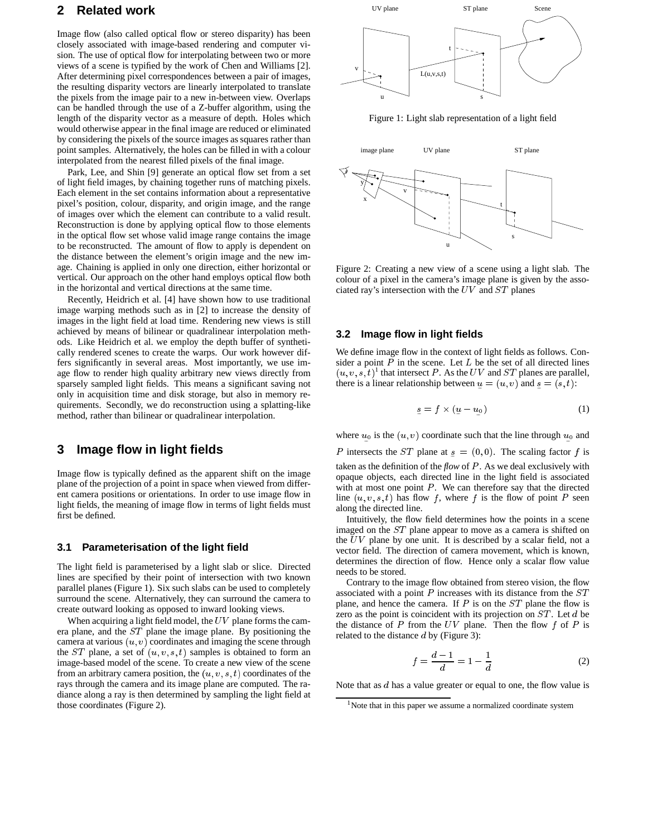## **2 Related work**

Image flow (also called optical flow or stereo disparity) has been closely associated with image-based rendering and computer vision. The use of optical flow for interpolating between two or more views of a scene is typified by the work of Chen and Williams [2]. After determining pixel correspondences between a pair of images, the resulting disparity vectors are linearly interpolated to translate the pixels from the image pair to a new in-between view. Overlaps can be handled through the use of a Z-buffer algorithm, using the length of the disparity vector as a measure of depth. Holes which would otherwise appear in the final image are reduced or eliminated by considering the pixels of the source images as squares rather than point samples. Alternatively, the holes can be filled in with a colour interpolated from the nearest filled pixels of the final image.

Park, Lee, and Shin [9] generate an optical flow set from a set of light field images, by chaining together runs of matching pixels. Each element in the set contains information about a representative pixel's position, colour, disparity, and origin image, and the range of images over which the element can contribute to a valid result. Reconstruction is done by applying optical flow to those elements in the optical flow set whose valid image range contains the image to be reconstructed. The amount of flow to apply is dependent on the distance between the element's origin image and the new image. Chaining is applied in only one direction, either horizontal or vertical. Our approach on the other hand employs optical flow both in the horizontal and vertical directions at the same time.

Recently, Heidrich et al. [4] have shown how to use traditional image warping methods such as in [2] to increase the density of images in the light field at load time. Rendering new views is still achieved by means of bilinear or quadralinear interpolation methods. Like Heidrich et al. we employ the depth buffer of synthetically rendered scenes to create the warps. Our work however differs significantly in several areas. Most importantly, we use image flow to render high quality arbitrary new views directly from sparsely sampled light fields. This means a significant saving not only in acquisition time and disk storage, but also in memory requirements. Secondly, we do reconstruction using a splatting-like method, rather than bilinear or quadralinear interpolation.

### **3 Image flow in light fields**

Image flow is typically defined as the apparent shift on the image plane of the projection of a point in space when viewed from different camera positions or orientations. In order to use image flow in light fields, the meaning of image flow in terms of light fields must first be defined.

#### **3.1 Parameterisation of the light field**

The light field is parameterised by a light slab or slice. Directed lines are specified by their point of intersection with two known parallel planes (Figure 1). Six such slabs can be used to completely surround the scene. Alternatively, they can surround the camera to create outward looking as opposed to inward looking views.

When acquiring a light field model, the  $UV$  plane forms the camera plane, and the ST plane the image plane. By positioning the camera at various  $(u, v)$  coordinates and imaging the scene through the ST plane, a set of  $(u, v, s, t)$  samples is obtained to form an image-based model of the scene. To create a new view of the scene from an arbitrary camera position, the  $(u, v, s, t)$  coordinates of the rays through the camera and its image plane are computed. The radiance along a ray is then determined by sampling the light field at those coordinates (Figure 2).



Figure 1: Light slab representation of a light field



Figure 2: Creating a new view of a scene using a light slab. The colour of a pixel in the camera's image plane is given by the associated ray's intersection with the  $UV$  and  $ST$  planes

#### **3.2 Image flow in light fields**

We define image flow in the context of light fields as follows. Consider a point  $P$  in the scene. Let  $L$  be the set of all directed lines  $(u, v, s, t)$ <sup>1</sup> that intersect P. As the UV and ST planes are parallel, there is a linear relationship between  $u = (u, v)$  and  $s = (s, t)$ :

$$
s = f \times (u - u_0) \tag{1}
$$

where  $u_0$  is the  $(u, v)$  coordinate such that the line through  $u_0$  and

P intersects the ST plane at  $s = (0,0)$ . The scaling factor f is taken as the definition of the *flow* of P. As we deal exclusively with opaque objects, each directed line in the light field is associated with at most one point  $P$ . We can therefore say that the directed line  $(u, v, s, t)$  has flow f, where f is the flow of point P seen along the directed line.

Intuitively, the flow field determines how the points in a scene imaged on the ST plane appear to move as a camera is shifted on the  $UV$  plane by one unit. It is described by a scalar field, not a vector field. The direction of camera movement, which is known, determines the direction of flow. Hence only a scalar flow value needs to be stored.

Contrary to the image flow obtained from stereo vision, the flow associated with a point  $P$  increases with its distance from the  $ST$ plane, and hence the camera. If  $P$  is on the  $ST$  plane the flow is zero as the point is coincident with its projection on  $ST$ . Let  $d$  be the distance of  $P$  from the  $UV$  plane. Then the flow  $f$  of  $P$  is related to the distance <sup>d</sup> by (Figure 3):

$$
f = \frac{d-1}{d} = 1 - \frac{1}{d} \tag{2}
$$

Note that as  $d$  has a value greater or equal to one, the flow value is

<sup>&</sup>lt;sup>1</sup>Note that in this paper we assume a normalized coordinate system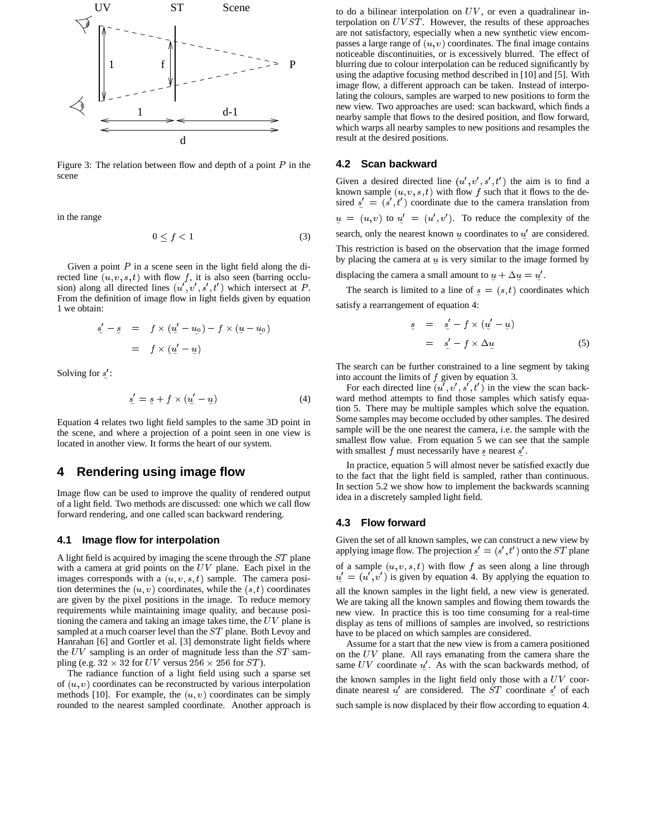

Figure 3: The relation between flow and depth of a point  $P$  in the scene

in the range

$$
0 \le f < 1 \tag{3}
$$

Given a point  $P$  in a scene seen in the light field along the directed line  $(u, v, s, t)$  with flow f, it is also seen (barring occlusion) along all directed lines  $(u', v', s', t')$  which intersect at P. From the definition of image flow in light fields given by equation 1 we obtain:

$$
g' - g = f \times (u' - u_0) - f \times (u - u_0)
$$

$$
= f \times (u' - u_0)
$$

Solving for  $s'$ :

$$
s' = s + f \times (u' - u) \tag{4}
$$

Equation 4 relates two light field samples to the same 3D point in the scene, and where a projection of a point seen in one view is located in another view. It forms the heart of our system.

# **4 Rendering using image flow**

Image flow can be used to improve the quality of rendered output of a light field. Two methods are discussed: one which we call flow forward rendering, and one called scan backward rendering.

#### **4.1 Image flow for interpolation**

A light field is acquired by imaging the scene through the ST plane with a camera at grid points on the  $UV$  plane. Each pixel in the images corresponds with a  $(u, v, s, t)$  sample. The camera position determines the  $(u, v)$  coordinates, while the  $(s, t)$  coordinates are given by the pixel positions in the image. To reduce memory requirements while maintaining image quality, and because positioning the camera and taking an image takes time, the  $UV$  plane is sampled at a much coarser level than the ST plane. Both Levoy and Hanrahan [6] and Gortler et al. [3] demonstrate light fields where the  $UV$  sampling is an order of magnitude less than the  $ST$  sampling (e.g.  $32 \times 32$  for UV versus  $256 \times 256$  for ST).

The radiance function of a light field using such a sparse set of  $(u, v)$  coordinates can be reconstructed by various interpolation methods [10]. For example, the  $(u, v)$  coordinates can be simply rounded to the nearest sampled coordinate. Another approach is to do a bilinear interpolation on  $UV$ , or even a quadralinear interpolation on  $UVST$ . However, the results of these approaches are not satisfactory, especially when a new synthetic view encompasses a large range of  $(u, v)$  coordinates. The final image contains noticeable discontinuities, or is excessively blurred. The effect of blurring due to colour interpolation can be reduced significantly by using the adaptive focusing method described in [10] and [5]. With image flow, a different approach can be taken. Instead of interpolating the colours, samples are warped to new positions to form the new view. Two approaches are used: scan backward, which finds a nearby sample that flows to the desired position, and flow forward, which warps all nearby samples to new positions and resamples the result at the desired positions.

#### **4.2 Scan backward**

Given a desired directed line  $(u', v', s', t')$  the aim is to find a known sample  $(u, v, s, t)$  with flow f such that it flows to the desired  $s' = (s', t')$  coordinate due to the camera translation from  $u = (u, v)$  to  $u' = (u', v')$ . To reduce the complexity of the search, only the nearest known  $u$  coordinates to  $u'$  are considered. This restriction is based on the observation that the image formed by placing the camera at  $u$  is very similar to the image formed by displacing the camera a small amount to  $u + \Delta u = u'$ .

The search is limited to a line of  $s = (s, t)$  coordinates which satisfy a rearrangement of equation 4:

$$
g = g' - f \times (u' - u)
$$
  
= 
$$
g' - f \times \Delta u
$$
 (5)

The search can be further constrained to a line segment by taking into account the limits of  $f$  given by equation 3.

For each directed line  $(u', v', s', t')$  in the view the scan backward method attempts to find those samples which satisfy equation 5. There may be multiple samples which solve the equation. Some samples may become occluded by other samples. The desired sample will be the one nearest the camera, i.e. the sample with the smallest flow value. From equation 5 we can see that the sample with smallest  $f$  must necessarily have  $s$  nearest  $s'$ .

In practice, equation 5 will almost never be satisfied exactly due to the fact that the light field is sampled, rather than continuous. In section 5.2 we show how to implement the backwards scanning idea in a discretely sampled light field.

#### **4.3 Flow forward**

Given the set of all known samples, we can construct a new view by applying image flow. The projection  $s' = (s', t')$  onto the  $ST$  plane of a sample  $(u, v, s, t)$  with flow f as seen along a line through  $u' = (u', v')$  is given by equation 4. By applying the equation to all the known samples in the light field, a new view is generated. We are taking all the known samples and flowing them towards the new view. In practice this is too time consuming for a real-time display as tens of millions of samples are involved, so restrictions have to be placed on which samples are considered.

Assume for a start that the new view is from a camera positioned on the  $UV$  plane. All rays emanating from the camera share the same UV coordinate  $u'$ . As with the scan backwards method, of the known samples in the light field only those with a  $UV$  coordinate nearest  $u'$  are considered. The ST coordinate s' of each such sample is now displaced by their flow according to equation 4.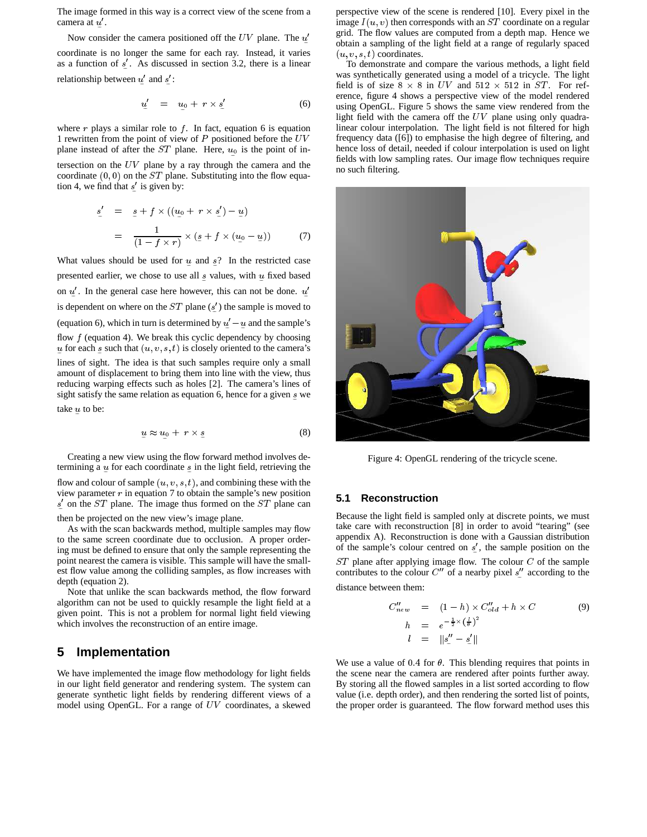The image formed in this way is a correct view of the scene from a camera at  $u'$ .

Now consider the camera positioned off the  $UV$  plane. The  $u'$ <sup>e</sup> coordinate is no longer the same for each ray. Instead, it varies as a function of  $s'$ . As discussed in section 3.2, there is a linear relationship between  $u'$  and  $s'$ :

$$
u' = u_0 + r \times s' \tag{6}
$$

where  $r$  plays a similar role to  $f$ . In fact, equation 6 is equation 1 rewritten from the point of view of  $P$  positioned before the  $UV$ plane instead of after the  $ST$  plane. Here,  $u_0$  is the point of intersection on the  $UV$  plane by a ray through the camera and the coordinate  $(0, 0)$  on the ST plane. Substituting into the flow equation 4, we find that  $s'$  is given by:

$$
\underline{s}' = \underline{s} + f \times ((\underline{u}_0 + r \times \underline{s}') - \underline{u})
$$

$$
= \frac{1}{(1 - f \times r)} \times (\underline{s} + f \times (\underline{u}_0 - \underline{u})) \tag{7}
$$

What values should be used for  $u$  and  $s$ ? In the restricted case presented earlier, we chose to use all  $s$  values, with  $u$  fixed based on  $u'$ . In the general case here however, this can not be done.  $u'$ is dependent on where on the  $ST$  plane  $(s')$  the sample is moved to (equation 6), which in turn is determined by  $u'-u$  and the sample's flow  $f$  (equation 4). We break this cyclic dependency by choosing u for each s such that  $(u, v, s, t)$  is closely oriented to the camera's lines of sight. The idea is that such samples require only a small amount of displacement to bring them into line with the view, thus reducing warping effects such as holes [2]. The camera's lines of sight satisfy the same relation as equation 6, hence for a given <sup>s</sup> we take <sup>u</sup> to be:

$$
\underline{u} \approx u_0 + r \times \underline{s} \tag{8}
$$

Creating a new view using the flow forward method involves determining a  $\mu$  for each coordinate  $\bar{s}$  in the light field, retrieving the

flow and colour of sample  $(u, v, s, t)$ , and combining these with the view parameter  $r$  in equation 7 to obtain the sample's new position  $s'$  on the ST plane. The image thus formed on the ST plane can

then be projected on the new view's image plane.

As with the scan backwards method, multiple samples may flow to the same screen coordinate due to occlusion. A proper ordering must be defined to ensure that only the sample representing the point nearest the camera is visible. This sample will have the smallest flow value among the colliding samples, as flow increases with depth (equation 2).

Note that unlike the scan backwards method, the flow forward algorithm can not be used to quickly resample the light field at a given point. This is not a problem for normal light field viewing which involves the reconstruction of an entire image.

## **5 Implementation**

We have implemented the image flow methodology for light fields in our light field generator and rendering system. The system can generate synthetic light fields by rendering different views of a model using OpenGL. For a range of  $UV$  coordinates, a skewed

perspective view of the scene is rendered [10]. Every pixel in the image  $I(u, v)$  then corresponds with an  $ST$  coordinate on a regular grid. The flow values are computed from a depth map. Hence we obtain a sampling of the light field at a range of regularly spaced  $(u, v, s, t)$  coordinates.

To demonstrate and compare the various methods, a light field was synthetically generated using a model of a tricycle. The light field is of size  $8 \times 8$  in UV and  $512 \times 512$  in ST. For reference, figure 4 shows a perspective view of the model rendered using OpenGL. Figure 5 shows the same view rendered from the light field with the camera off the  $UV$  plane using only quadralinear colour interpolation. The light field is not filtered for high frequency data ([6]) to emphasise the high degree of filtering, and hence loss of detail, needed if colour interpolation is used on light fields with low sampling rates. Our image flow techniques require no such filtering.



Figure 4: OpenGL rendering of the tricycle scene.

#### **5.1 Reconstruction**

Because the light field is sampled only at discrete points, we must take care with reconstruction [8] in order to avoid "tearing" (see appendix A). Reconstruction is done with a Gaussian distribution of the sample's colour centred on  $s'$ , the sample position on the  $ST$  plane after applying image flow. The colour  $C$  of the sample contributes to the colour  $C''$  of a nearby pixel  $s''$  according to the

distance between them:

$$
C_{new}^{\prime\prime} = (1-h) \times C_{old}^{\prime\prime} + h \times C \tag{9}
$$

$$
h = e^{-\frac{1}{2}\times \left(\frac{L}{\theta}\right)^2}
$$

$$
l = \|s_{\cdot\prime}^{\prime\prime} - s_{\cdot\prime}^{\prime}\|
$$

We use a value of 0.4 for  $\theta$ . This blending requires that points in the scene near the camera are rendered after points further away. By storing all the flowed samples in a list sorted according to flow value (i.e. depth order), and then rendering the sorted list of points, the proper order is guaranteed. The flow forward method uses this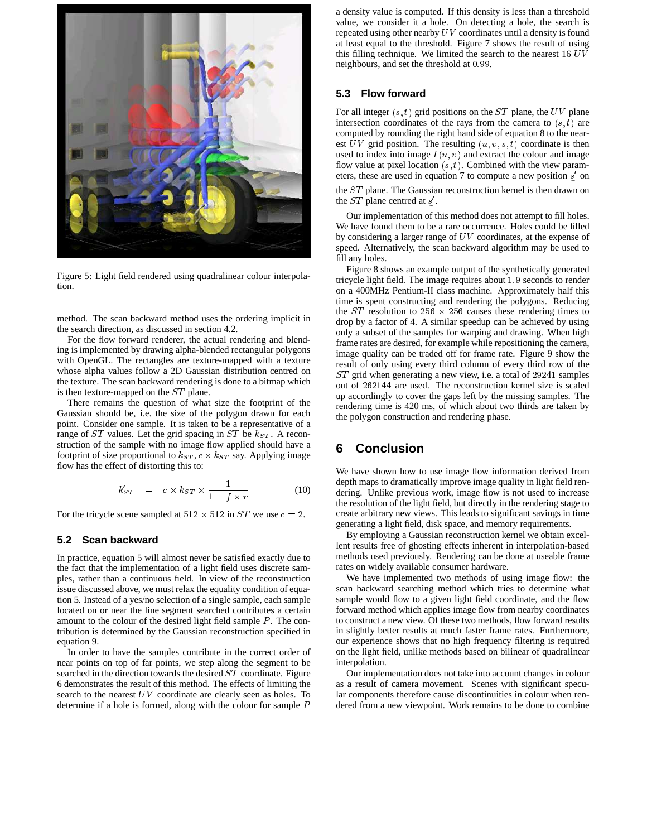

Figure 5: Light field rendered using quadralinear colour interpolation.

method. The scan backward method uses the ordering implicit in the search direction, as discussed in section 4.2.

For the flow forward renderer, the actual rendering and blending is implemented by drawing alpha-blended rectangular polygons with OpenGL. The rectangles are texture-mapped with a texture whose alpha values follow a 2D Gaussian distribution centred on the texture. The scan backward rendering is done to a bitmap which is then texture-mapped on the ST plane.

There remains the question of what size the footprint of the Gaussian should be, i.e. the size of the polygon drawn for each point. Consider one sample. It is taken to be a representative of a range of  $ST$  values. Let the grid spacing in  $ST$  be  $k_{ST}$ . A reconstruction of the sample with no image flow applied should have a footprint of size proportional to  $k_{ST}$ ,  $c \times k_{ST}$  say. Applying image flow has the effect of distorting this to:

$$
k'_{ST} = c \times k_{ST} \times \frac{1}{1 - f \times r}
$$
 (10)

For the tricycle scene sampled at  $512 \times 512$  in  $ST$  we use  $c = 2$ .

#### **5.2 Scan backward**

In practice, equation 5 will almost never be satisfied exactly due to the fact that the implementation of a light field uses discrete samples, rather than a continuous field. In view of the reconstruction issue discussed above, we must relax the equality condition of equation 5. Instead of a yes/no selection of a single sample, each sample located on or near the line segment searched contributes a certain amount to the colour of the desired light field sample  $P$ . The contribution is determined by the Gaussian reconstruction specified in equation 9.

In order to have the samples contribute in the correct order of near points on top of far points, we step along the segment to be searched in the direction towards the desired ST coordinate. Figure 6 demonstrates the result of this method. The effects of limiting the search to the nearest  $UV$  coordinate are clearly seen as holes. To determine if a hole is formed, along with the colour for sample <sup>P</sup>

a density value is computed. If this density is less than a threshold value, we consider it a hole. On detecting a hole, the search is repeated using other nearby  $UV$  coordinates until a density is found at least equal to the threshold. Figure 7 shows the result of using this filling technique. We limited the search to the nearest  $16$   $UV$ neighbours, and set the threshold at 0:99.

#### **5.3 Flow forward**

For all integer  $(s, t)$  grid positions on the  $ST$  plane, the  $UV$  plane intersection coordinates of the rays from the camera to  $(s, t)$  are computed by rounding the right hand side of equation 8 to the nearest  $UV$  grid position. The resulting  $(u, v, s, t)$  coordinate is then used to index into image  $I(u, v)$  and extract the colour and image flow value at pixel location  $(s, t)$ . Combined with the view parameters, these are used in equation 7 to compute a new position  $s'$  on

the ST plane. The Gaussian reconstruction kernel is then drawn on the  $ST$  plane centred at  $s'$ .

Our implementation of this method does not attempt to fill holes. We have found them to be a rare occurrence. Holes could be filled by considering a larger range of  $UV$  coordinates, at the expense of speed. Alternatively, the scan backward algorithm may be used to fill any holes.

Figure 8 shows an example output of the synthetically generated tricycle light field. The image requires about 1:9 seconds to render on a 400MHz Pentium-II class machine. Approximately half this time is spent constructing and rendering the polygons. Reducing the ST resolution to 256  $\times$  256 causes these rendering times to drop by a factor of 4. A similar speedup can be achieved by using only a subset of the samples for warping and drawing. When high frame rates are desired, for example while repositioning the camera, image quality can be traded off for frame rate. Figure 9 show the result of only using every third column of every third row of the ST grid when generating a new view, i.e. a total of <sup>29241</sup> samples out of <sup>262144</sup> are used. The reconstruction kernel size is scaled up accordingly to cover the gaps left by the missing samples. The rendering time is 420 ms, of which about two thirds are taken by the polygon construction and rendering phase.

### **6 Conclusion**

We have shown how to use image flow information derived from depth maps to dramatically improve image quality in light field rendering. Unlike previous work, image flow is not used to increase the resolution of the light field, but directly in the rendering stage to create arbitrary new views. This leads to significant savings in time generating a light field, disk space, and memory requirements.

By employing a Gaussian reconstruction kernel we obtain excellent results free of ghosting effects inherent in interpolation-based methods used previously. Rendering can be done at useable frame rates on widely available consumer hardware.

We have implemented two methods of using image flow: the scan backward searching method which tries to determine what sample would flow to a given light field coordinate, and the flow forward method which applies image flow from nearby coordinates to construct a new view. Of these two methods, flow forward results in slightly better results at much faster frame rates. Furthermore, our experience shows that no high frequency filtering is required on the light field, unlike methods based on bilinear of quadralinear interpolation.

Our implementation does not take into account changes in colour as a result of camera movement. Scenes with significant specular components therefore cause discontinuities in colour when rendered from a new viewpoint. Work remains to be done to combine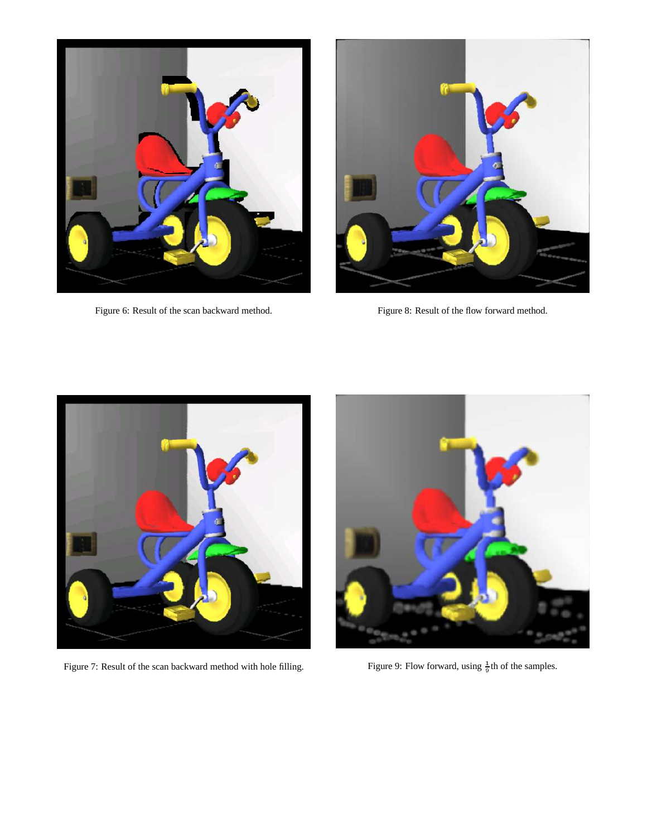

Figure 6: Result of the scan backward method.



Figure 8: Result of the flow forward method.



Figure 7: Result of the scan backward method with hole filling.



Figure 9: Flow forward, using  $\frac{1}{9}$ th of the samples.